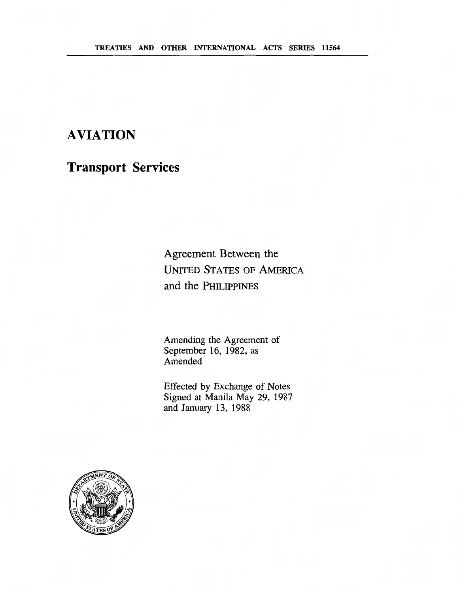# **AVIATION**

**Transport Services** 

Agreement Between the **UNITED STATES** OF **AMERICA and** the **PHILIPPINES** 

Amending the Agreement of September 16, 1982, as Amended

Effected by Exchange of Notes Signed at Manila May 29, 1987 and January 13, 1988

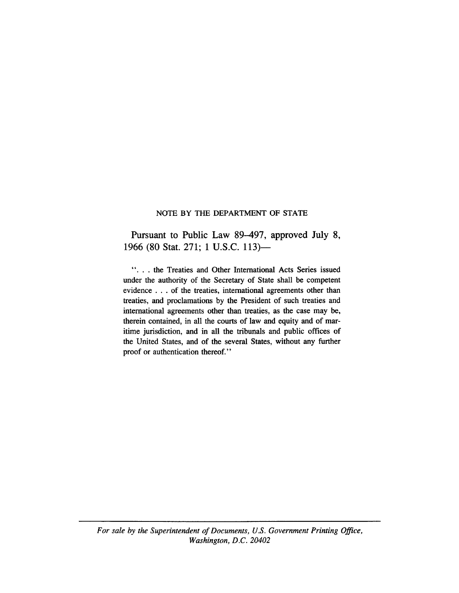#### NOTE BY **THE** DEPARTMENT OF STATE

Pursuant to Public Law 89-497, approved July 8, 1966 (80 Stat. 271; 1 U.S.C. 113)-

". . . the Treaties and Other International Acts Series issued under the authority of the Secretary of State shall be competent evidence . . . of the treaties, international agreements other than treaties, and proclamations by the President of such treaties and international agreements other than treaties, as the case may be, therein contained, in all the courts of law and equity and of maritime jurisdiction, and in all the tribunals and public offices of the United States, and of the several States, without any further proof or authentication thereof."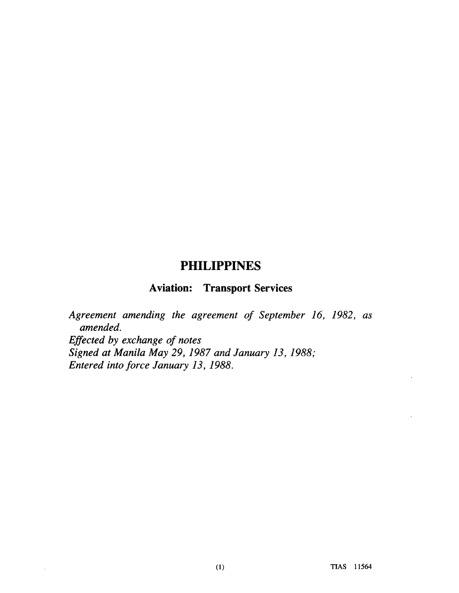## **PHILIPPINES**

## **Aviation: Transport Services**

*Agreement amending the agreement of September 16, 1982, as amended. Efected by exchange of notes Signed at Manila May 29,1987 and January 13,1988; Entered into force January 13, 1988.* 

 $\sim$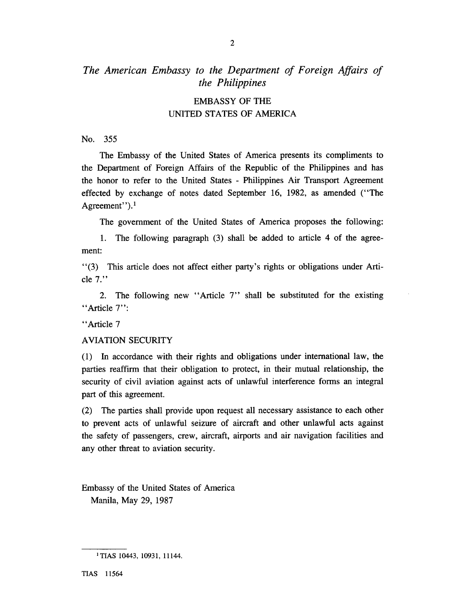### The American Embassy to the Department of Foreign Affairs of *the Philippines*

#### EMBASSY OF THE UNITED STATES OF AMERICA

No. 355

The Embassy of the United States of America presents its compliments to the Department of Foreign Affairs of the Republic of the Philippines and has the honor to refer to the United States - Philippines Air Transport Agreement effected by exchange of notes dated September 16, 1982, as amended ("The Agreement").<sup>1</sup>

The government of the United States of America proposes the following:

1. The following paragraph **(3)** shall be added to article 4 of the agreement:

"(3) This article does not affect either party's rights or obligations under Article 7."

2. The following new "Article 7" shall be substituted for the existing "Article 7":

"Article 7

#### AVIATION SECURITY

(1) In accordance with their rights and obligations under international law, the parties reaffirm that their obligation to protect, in their mutual relationship, the security of civil aviation against acts of unlawful interference forms an integral part of this agreement.

(2) The parties shall provide upon request all necessary assistance to each other to prevent acts of unlawful seizure of aircraft and other unlawful acts against the safety of passengers, crew, aircraft, airports and air navigation facilities and any other threat to aviation security.

Embassy of the United States of America Manila, May 29, 1987

<sup>&</sup>lt;sup>1</sup> TIAS 10443, 10931, 11144.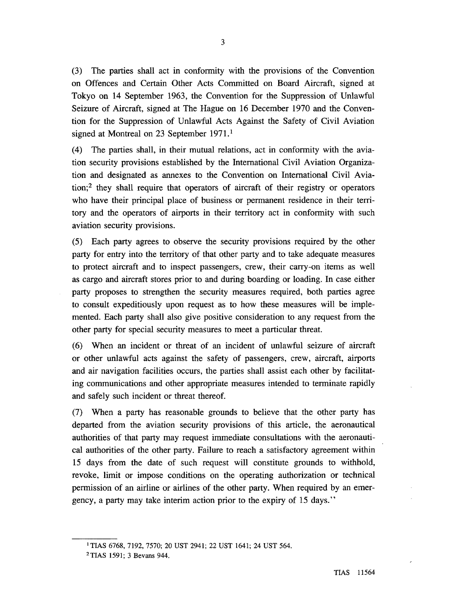**(3)** The parties shall act in conformity with the provisions of the Convention on Offences and Certain Other Acts Committed on Board Aircraft, signed at Tokyo on 14 September 1963, the Convention for the Suppression of Unlawful Seizure of Aircraft, signed at The Hague on 16 December 1970 and the Convention for the Suppression of Unlawful Acts Against the Safety of Civil Aviation signed at Montreal on 23 September 1971.<sup>1</sup>

(4) The parties shall, in their mutual relations, act in conformity with the aviation security provisions established by the International Civil Aviation Organization and designated as annexes to the Convention on International Civil Aviation;<sup>2</sup> they shall require that operators of aircraft of their registry or operators who have their principal place of business or permanent residence in their territory and the operators of airports in their territory act in conformity with such aviation security provisions.

(5) Each party agrees to observe the security provisions required by the other party for entry into the territory of that other party and to take adequate measures to protect aircraft and to inspect passengers, crew, their carry-on items as well as cargo and aircraft stores prior to and during boarding or loading. In case either party proposes to strengthen the security measures required, both parties agree to consult expeditiously upon request as to how these measures will be implemented. Each party shall also give positive consideration to any request from the other party for special security measures to meet a particular threat.

(6) When an incident or threat of an incident of unlawful seizure of aircraft or other unlawful acts against the safety of passengers, crew, aircraft, airports and air navigation facilities occurs, the parties shall assist each other by facilitating communications and other appropriate measures intended to terminate rapidly and safely such incident or threat thereof.

(7) When a party has reasonable grounds to believe that the other party has departed from the aviation security provisions of this article, the aeronautical authorities of that party may request immediate consultations with the aeronautical authorities of the other party. Failure to reach a satisfactory agreement within 15 days from the date of such request will constitute grounds to withhold, revoke, limit or impose conditions on the operating authorization or technical permission of an airline or airlines of the other party. When required by an emergency, a party may take interim action prior to the expiry of 15 days."

<sup>&#</sup>x27;TIAS 6768, 7192,7570; 20 UST 2941; 22 UST 1641; 24 UST 564.

TIAS 1591; 3 **Bevans** 944.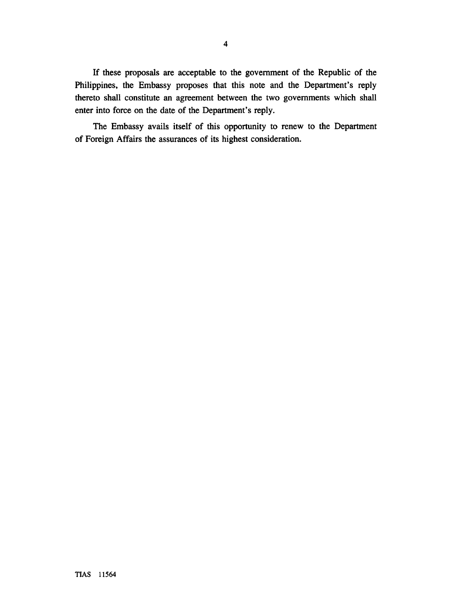If these proposals are acceptable to the government of the Republic of the Philippines, the Embassy proposes that this note and the Department's reply thereto shall constitute an agreement between the two governments which shall enter into force on the date of the Department's reply.

The Embassy avails itself of this opportunity to renew to the Department of Foreign Affairs the assurances of its highest consideration.